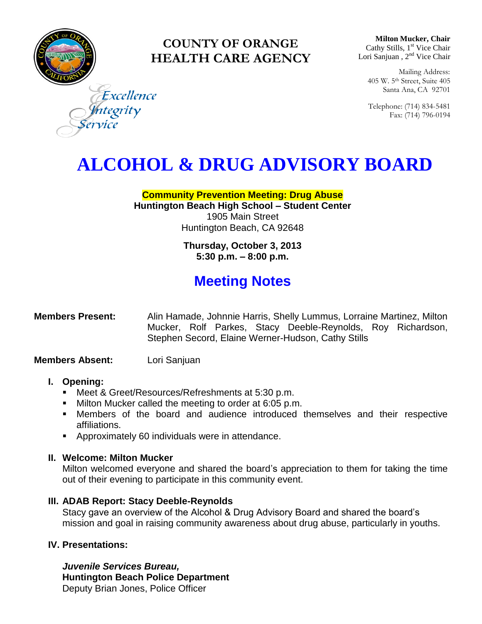

### **COUNTY OF ORANGE HEALTH CARE AGENCY**

**Milton Mucker, Chair** Cathy Stills, 1<sup>st</sup> Vice Chair Lori Sanjuan, 2<sup>nd</sup> Vice Chair

Mailing Address: 405 W. 5th Street, Suite 405 Santa Ana, CA 92701

Telephone: (714) 834-5481 Fax: (714) 796-0194

Excellence ntegrity

# **ALCOHOL & DRUG ADVISORY BOARD**

#### **Community Prevention Meeting: Drug Abuse Huntington Beach High School – Student Center** 1905 Main Street Huntington Beach, CA 92648

**Thursday, October 3, 2013 5:30 p.m. – 8:00 p.m.** 

## **Meeting Notes**

#### **Members Present:** Alin Hamade, Johnnie Harris, Shelly Lummus, Lorraine Martinez, Milton Mucker, Rolf Parkes, Stacy Deeble-Reynolds, Roy Richardson, Stephen Secord, Elaine Werner-Hudson, Cathy Stills

#### **Members Absent:** Lori Sanjuan

#### **I. Opening:**

- Meet & Greet/Resources/Refreshments at 5:30 p.m.
- Milton Mucker called the meeting to order at 6:05 p.m.
- Members of the board and audience introduced themselves and their respective affiliations.
- **Approximately 60 individuals were in attendance.**

#### **II. Welcome: Milton Mucker**

Milton welcomed everyone and shared the board's appreciation to them for taking the time out of their evening to participate in this community event.

#### **III. ADAB Report: Stacy Deeble-Reynolds**

Stacy gave an overview of the Alcohol & Drug Advisory Board and shared the board's mission and goal in raising community awareness about drug abuse, particularly in youths.

#### **IV. Presentations:**

*Juvenile Services Bureau,* **Huntington Beach Police Department** Deputy Brian Jones, Police Officer